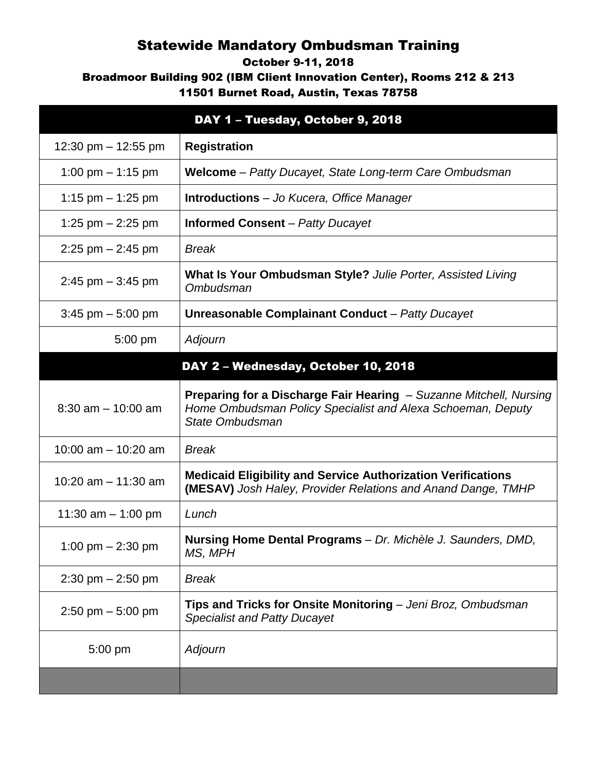## Statewide Mandatory Ombudsman Training

## October 9-11, 2018

Broadmoor Building 902 (IBM Client Innovation Center), Rooms 212 & 213

11501 Burnet Road, Austin, Texas 78758

|                       | DAY 1 - Tuesday, October 9, 2018                                                                                                                     |
|-----------------------|------------------------------------------------------------------------------------------------------------------------------------------------------|
| 12:30 pm $-$ 12:55 pm | <b>Registration</b>                                                                                                                                  |
| 1:00 pm $-$ 1:15 pm   | Welcome - Patty Ducayet, State Long-term Care Ombudsman                                                                                              |
| 1:15 pm $-$ 1:25 pm   | <b>Introductions</b> – Jo Kucera, Office Manager                                                                                                     |
| 1:25 pm $-$ 2:25 pm   | <b>Informed Consent</b> – Patty Ducayet                                                                                                              |
| $2:25$ pm $-2:45$ pm  | <b>Break</b>                                                                                                                                         |
| $2:45$ pm $-3:45$ pm  | What Is Your Ombudsman Style? Julie Porter, Assisted Living<br>Ombudsman                                                                             |
| $3:45$ pm $-5:00$ pm  | <b>Unreasonable Complainant Conduct - Patty Ducayet</b>                                                                                              |
| 5:00 pm               | Adjourn                                                                                                                                              |
|                       | DAY 2 - Wednesday, October 10, 2018                                                                                                                  |
| $8:30$ am $-10:00$ am | Preparing for a Discharge Fair Hearing - Suzanne Mitchell, Nursing<br>Home Ombudsman Policy Specialist and Alexa Schoeman, Deputy<br>State Ombudsman |
| 10:00 am $-$ 10:20 am | <b>Break</b>                                                                                                                                         |
| 10:20 am - 11:30 am   | <b>Medicaid Eligibility and Service Authorization Verifications</b><br><b>(MESAV)</b> Josh Haley, Provider Relations and Anand Dange, TMHP           |
| 11:30 am $-$ 1:00 pm  | Lunch                                                                                                                                                |
| 1:00 pm $- 2:30$ pm   | Nursing Home Dental Programs - Dr. Michèle J. Saunders, DMD,<br>MS, MPH                                                                              |
| $2:30$ pm $- 2:50$ pm | <b>Break</b>                                                                                                                                         |
| 2:50 pm $-$ 5:00 pm   | Tips and Tricks for Onsite Monitoring - Jeni Broz, Ombudsman<br><b>Specialist and Patty Ducayet</b>                                                  |
| 5:00 pm               | Adjourn                                                                                                                                              |
|                       |                                                                                                                                                      |